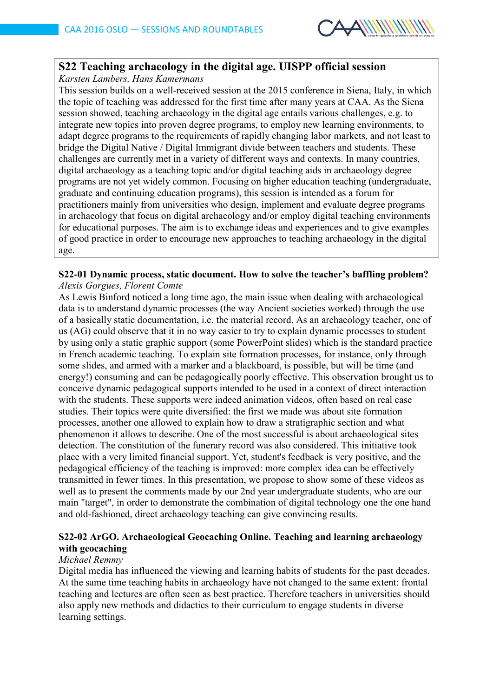

# **S22 Teaching archaeology in the digital age. UISPP official session**

*Karsten Lambers, Hans Kamermans*

This session builds on a well-received session at the 2015 conference in Siena, Italy, in which the topic of teaching was addressed for the first time after many years at CAA. As the Siena session showed, teaching archaeology in the digital age entails various challenges, e.g. to integrate new topics into proven degree programs, to employ new learning environments, to adapt degree programs to the requirements of rapidly changing labor markets, and not least to bridge the Digital Native / Digital Immigrant divide between teachers and students. These challenges are currently met in a variety of different ways and contexts. In many countries, digital archaeology as a teaching topic and/or digital teaching aids in archaeology degree programs are not yet widely common. Focusing on higher education teaching (undergraduate, graduate and continuing education programs), this session is intended as a forum for practitioners mainly from universities who design, implement and evaluate degree programs in archaeology that focus on digital archaeology and/or employ digital teaching environments for educational purposes. The aim is to exchange ideas and experiences and to give examples of good practice in order to encourage new approaches to teaching archaeology in the digital age.

#### **S22-01 Dynamic process, static document. How to solve the teacher's baffling problem?** *Alexis Gorgues, Florent Comte*

As Lewis Binford noticed a long time ago, the main issue when dealing with archaeological data is to understand dynamic processes (the way Ancient societies worked) through the use of a basically static documentation, i.e. the material record. As an archaeology teacher, one of us (AG) could observe that it in no way easier to try to explain dynamic processes to student by using only a static graphic support (some PowerPoint slides) which is the standard practice in French academic teaching. To explain site formation processes, for instance, only through some slides, and armed with a marker and a blackboard, is possible, but will be time (and energy!) consuming and can be pedagogically poorly effective. This observation brought us to conceive dynamic pedagogical supports intended to be used in a context of direct interaction with the students. These supports were indeed animation videos, often based on real case studies. Their topics were quite diversified: the first we made was about site formation processes, another one allowed to explain how to draw a stratigraphic section and what phenomenon it allows to describe. One of the most successful is about archaeological sites detection. The constitution of the funerary record was also considered. This initiative took place with a very limited financial support. Yet, student's feedback is very positive, and the pedagogical efficiency of the teaching is improved: more complex idea can be effectively transmitted in fewer times. In this presentation, we propose to show some of these videos as well as to present the comments made by our 2nd year undergraduate students, who are our main "target", in order to demonstrate the combination of digital technology one the one hand and old-fashioned, direct archaeology teaching can give convincing results.

# **S22-02 ArGO. Archaeological Geocaching Online. Teaching and learning archaeology with geocaching**

# *Michael Remmy*

Digital media has influenced the viewing and learning habits of students for the past decades. At the same time teaching habits in archaeology have not changed to the same extent: frontal teaching and lectures are often seen as best practice. Therefore teachers in universities should also apply new methods and didactics to their curriculum to engage students in diverse learning settings.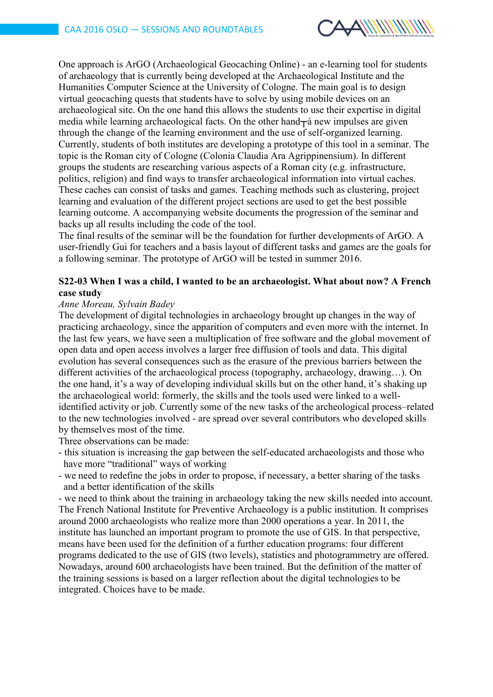

One approach is ArGO (Archaeological Geocaching Online) - an e-learning tool for students of archaeology that is currently being developed at the Archaeological Institute and the Humanities Computer Science at the University of Cologne. The main goal is to design virtual geocaching quests that students have to solve by using mobile devices on an archaeological site. On the one hand this allows the students to use their expertise in digital media while learning archaeological facts. On the other hand  $\pm$  a new impulses are given through the change of the learning environment and the use of self-organized learning. Currently, students of both institutes are developing a prototype of this tool in a seminar. The topic is the Roman city of Cologne (Colonia Claudia Ara Agrippinensium). In different groups the students are researching various aspects of a Roman city (e.g. infrastructure, politics, religion) and find ways to transfer archaeological information into virtual caches. These caches can consist of tasks and games. Teaching methods such as clustering, project learning and evaluation of the different project sections are used to get the best possible learning outcome. A accompanying website documents the progression of the seminar and backs up all results including the code of the tool.

The final results of the seminar will be the foundation for further developments of ArGO. A user-friendly Gui for teachers and a basis layout of different tasks and games are the goals for a following seminar. The prototype of ArGO will be tested in summer 2016.

#### **S22-03 When I was a child, I wanted to be an archaeologist. What about now? A French case study**

#### *Anne Moreau, Sylvain Badey*

The development of digital technologies in archaeology brought up changes in the way of practicing archaeology, since the apparition of computers and even more with the internet. In the last few years, we have seen a multiplication of free software and the global movement of open data and open access involves a larger free diffusion of tools and data. This digital evolution has several consequences such as the erasure of the previous barriers between the different activities of the archaeological process (topography, archaeology, drawing…). On the one hand, it's a way of developing individual skills but on the other hand, it's shaking up the archaeological world: formerly, the skills and the tools used were linked to a wellidentified activity or job. Currently some of the new tasks of the archeological process–related to the new technologies involved - are spread over several contributors who developed skills by themselves most of the time.

Three observations can be made:

- this situation is increasing the gap between the self-educated archaeologists and those who have more "traditional" ways of working
- we need to redefine the jobs in order to propose, if necessary, a better sharing of the tasks and a better identification of the skills

- we need to think about the training in archaeology taking the new skills needed into account. The French National Institute for Preventive Archaeology is a public institution. It comprises around 2000 archaeologists who realize more than 2000 operations a year. In 2011, the institute has launched an important program to promote the use of GIS. In that perspective, means have been used for the definition of a further education programs: four different programs dedicated to the use of GIS (two levels), statistics and photogrammetry are offered. Nowadays, around 600 archaeologists have been trained. But the definition of the matter of the training sessions is based on a larger reflection about the digital technologies to be integrated. Choices have to be made.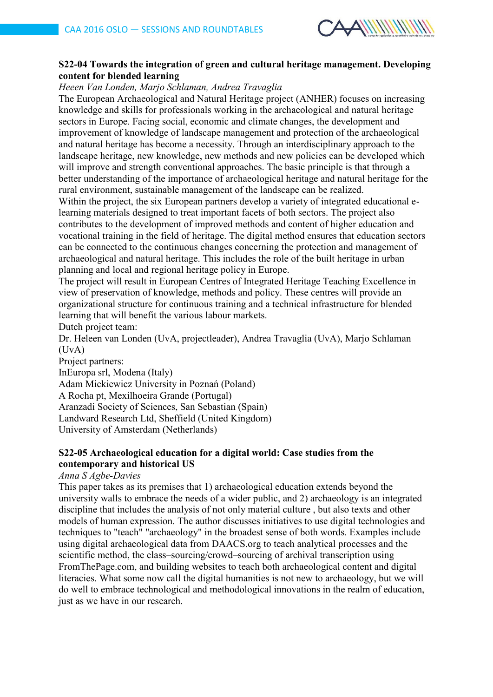

### **S22-04 Towards the integration of green and cultural heritage management. Developing content for blended learning**

*Heeen Van Londen, Marjo Schlaman, Andrea Travaglia*

The European Archaeological and Natural Heritage project (ANHER) focuses on increasing knowledge and skills for professionals working in the archaeological and natural heritage sectors in Europe. Facing social, economic and climate changes, the development and improvement of knowledge of landscape management and protection of the archaeological and natural heritage has become a necessity. Through an interdisciplinary approach to the landscape heritage, new knowledge, new methods and new policies can be developed which will improve and strength conventional approaches. The basic principle is that through a better understanding of the importance of archaeological heritage and natural heritage for the rural environment, sustainable management of the landscape can be realized.

Within the project, the six European partners develop a variety of integrated educational elearning materials designed to treat important facets of both sectors. The project also contributes to the development of improved methods and content of higher education and vocational training in the field of heritage. The digital method ensures that education sectors can be connected to the continuous changes concerning the protection and management of archaeological and natural heritage. This includes the role of the built heritage in urban planning and local and regional heritage policy in Europe.

The project will result in European Centres of Integrated Heritage Teaching Excellence in view of preservation of knowledge, methods and policy. These centres will provide an organizational structure for continuous training and a technical infrastructure for blended learning that will benefit the various labour markets.

Dutch project team:

Dr. Heleen van Londen (UvA, projectleader), Andrea Travaglia (UvA), Marjo Schlaman  $(UvA)$ 

Project partners:

InEuropa srl, Modena (Italy) Adam Mickiewicz University in Poznań (Poland) A Rocha pt, Mexilhoeira Grande (Portugal) Aranzadi Society of Sciences, San Sebastian (Spain) Landward Research Ltd, Sheffield (United Kingdom) University of Amsterdam (Netherlands)

#### **S22-05 Archaeological education for a digital world: Case studies from the contemporary and historical US**

#### *Anna S Agbe-Davies*

This paper takes as its premises that 1) archaeological education extends beyond the university walls to embrace the needs of a wider public, and 2) archaeology is an integrated discipline that includes the analysis of not only material culture , but also texts and other models of human expression. The author discusses initiatives to use digital technologies and techniques to "teach" "archaeology" in the broadest sense of both words. Examples include using digital archaeological data from DAACS.org to teach analytical processes and the scientific method, the class–sourcing/crowd–sourcing of archival transcription using FromThePage.com, and building websites to teach both archaeological content and digital literacies. What some now call the digital humanities is not new to archaeology, but we will do well to embrace technological and methodological innovations in the realm of education, just as we have in our research.